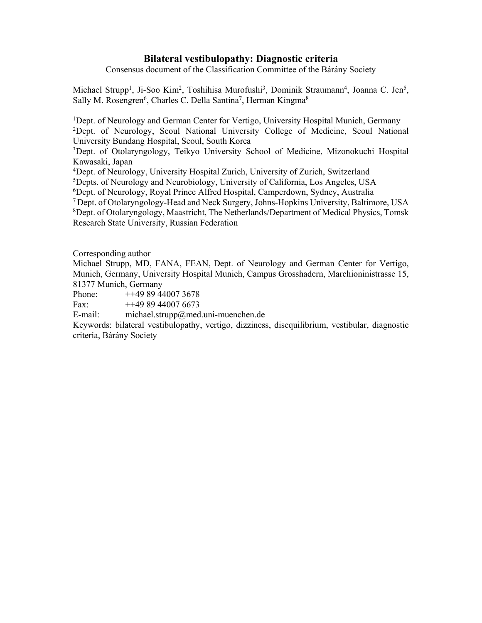# **Bilateral vestibulopathy: Diagnostic criteria**

Consensus document of the Classification Committee of the Bárány Society

Michael Strupp<sup>1</sup>, Ji-Soo Kim<sup>2</sup>, Toshihisa Murofushi<sup>3</sup>, Dominik Straumann<sup>4</sup>, Joanna C. Jen<sup>5</sup>, Sally M. Rosengren<sup>6</sup>, Charles C. Della Santina<sup>7</sup>, Herman Kingma<sup>8</sup>

<sup>1</sup>Dept. of Neurology and German Center for Vertigo, University Hospital Munich, Germany 2 Dept. of Neurology, Seoul National University College of Medicine, Seoul National University Bundang Hospital, Seoul, South Korea

3Dept. of Otolaryngology, Teikyo University School of Medicine, Mizonokuchi Hospital Kawasaki, Japan

4 Dept. of Neurology, University Hospital Zurich, University of Zurich, Switzerland

5Depts. of Neurology and Neurobiology, University of California, Los Angeles, USA

6Dept. of Neurology, Royal Prince Alfred Hospital, Camperdown, Sydney, Australia

7 Dept. of Otolaryngology-Head and Neck Surgery, Johns-Hopkins University, Baltimore, USA 8Dept. of Otolaryngology, Maastricht, The Netherlands/Department of Medical Physics, Tomsk

Research State University, Russian Federation

Corresponding author

Michael Strupp, MD, FANA, FEAN, Dept. of Neurology and German Center for Vertigo, Munich, Germany, University Hospital Munich, Campus Grosshadern, Marchioninistrasse 15, 81377 Munich, Germany

Phone: ++49 89 44007 3678

Fax:  $++4989440076673$ 

E-mail: michael.strupp@med.uni-muenchen.de

Keywords: bilateral vestibulopathy, vertigo, dizziness, disequilibrium, vestibular, diagnostic criteria, Bárány Society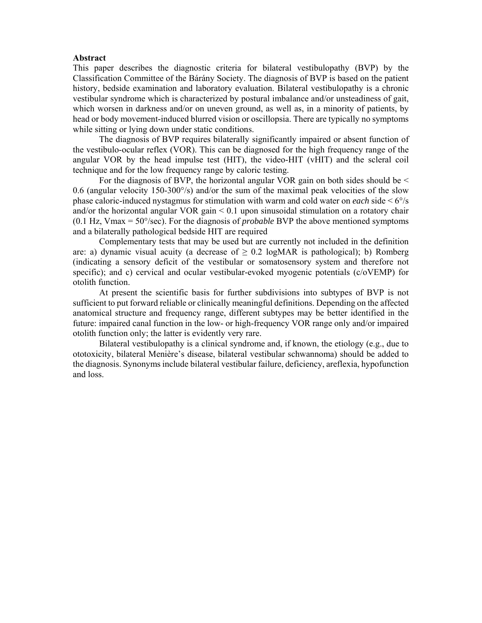#### **Abstract**

This paper describes the diagnostic criteria for bilateral vestibulopathy (BVP) by the Classification Committee of the Bárány Society. The diagnosis of BVP is based on the patient history, bedside examination and laboratory evaluation. Bilateral vestibulopathy is a chronic vestibular syndrome which is characterized by postural imbalance and/or unsteadiness of gait, which worsen in darkness and/or on uneven ground, as well as, in a minority of patients, by head or body movement-induced blurred vision or oscillopsia. There are typically no symptoms while sitting or lying down under static conditions.

The diagnosis of BVP requires bilaterally significantly impaired or absent function of the vestibulo-ocular reflex (VOR). This can be diagnosed for the high frequency range of the angular VOR by the head impulse test (HIT), the video-HIT (vHIT) and the scleral coil technique and for the low frequency range by caloric testing.

For the diagnosis of BVP, the horizontal angular VOR gain on both sides should be < 0.6 (angular velocity 150-300°/s) and/or the sum of the maximal peak velocities of the slow phase caloric-induced nystagmus for stimulation with warm and cold water on *each* side  $\leq 6\%$ and/or the horizontal angular VOR gain < 0.1 upon sinusoidal stimulation on a rotatory chair (0.1 Hz, Vmax = 50°/sec). For the diagnosis of *probable* BVP the above mentioned symptoms and a bilaterally pathological bedside HIT are required

Complementary tests that may be used but are currently not included in the definition are: a) dynamic visual acuity (a decrease of  $\geq 0.2$  logMAR is pathological); b) Romberg (indicating a sensory deficit of the vestibular or somatosensory system and therefore not specific); and c) cervical and ocular vestibular-evoked myogenic potentials (c/oVEMP) for otolith function.

At present the scientific basis for further subdivisions into subtypes of BVP is not sufficient to put forward reliable or clinically meaningful definitions. Depending on the affected anatomical structure and frequency range, different subtypes may be better identified in the future: impaired canal function in the low- or high-frequency VOR range only and/or impaired otolith function only; the latter is evidently very rare.

Bilateral vestibulopathy is a clinical syndrome and, if known, the etiology (e.g., due to ototoxicity, bilateral Menière's disease, bilateral vestibular schwannoma) should be added to the diagnosis. Synonyms include bilateral vestibular failure, deficiency, areflexia, hypofunction and loss.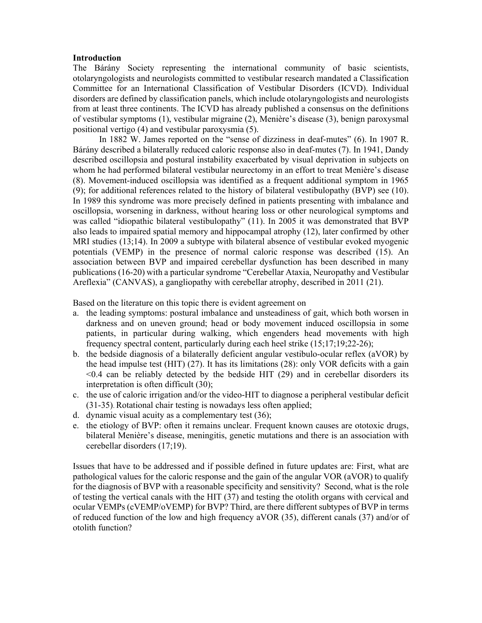### **Introduction**

The Bárány Society representing the international community of basic scientists, otolaryngologists and neurologists committed to vestibular research mandated a Classification Committee for an International Classification of Vestibular Disorders (ICVD). Individual disorders are defined by classification panels, which include otolaryngologists and neurologists from at least three continents. The ICVD has already published a consensus on the definitions of vestibular symptoms (1), vestibular migraine (2), Menière's disease (3), benign paroxysmal positional vertigo (4) and vestibular paroxysmia (5).

In 1882 W. James reported on the "sense of dizziness in deaf-mutes" (6). In 1907 R. Bárány described a bilaterally reduced caloric response also in deaf-mutes (7). In 1941, Dandy described oscillopsia and postural instability exacerbated by visual deprivation in subjects on whom he had performed bilateral vestibular neurectomy in an effort to treat Menière's disease (8). Movement-induced oscillopsia was identified as a frequent additional symptom in 1965 (9); for additional references related to the history of bilateral vestibulopathy (BVP) see (10). In 1989 this syndrome was more precisely defined in patients presenting with imbalance and oscillopsia, worsening in darkness, without hearing loss or other neurological symptoms and was called "idiopathic bilateral vestibulopathy" (11). In 2005 it was demonstrated that BVP also leads to impaired spatial memory and hippocampal atrophy (12), later confirmed by other MRI studies (13;14). In 2009 a subtype with bilateral absence of vestibular evoked myogenic potentials (VEMP) in the presence of normal caloric response was described (15). An association between BVP and impaired cerebellar dysfunction has been described in many publications (16-20) with a particular syndrome "Cerebellar Ataxia, Neuropathy and Vestibular Areflexia" (CANVAS), a gangliopathy with cerebellar atrophy, described in 2011 (21).

Based on the literature on this topic there is evident agreement on

- a. the leading symptoms: postural imbalance and unsteadiness of gait, which both worsen in darkness and on uneven ground; head or body movement induced oscillopsia in some patients, in particular during walking, which engenders head movements with high frequency spectral content, particularly during each heel strike (15;17;19;22-26);
- b. the bedside diagnosis of a bilaterally deficient angular vestibulo-ocular reflex (aVOR) by the head impulse test (HIT) (27). It has its limitations (28): only VOR deficits with a gain  $< 0.4$  can be reliably detected by the bedside HIT (29) and in cerebellar disorders its interpretation is often difficult (30);
- c. the use of caloric irrigation and/or the video-HIT to diagnose a peripheral vestibular deficit (31-35). Rotational chair testing is nowadays less often applied;
- d. dynamic visual acuity as a complementary test (36);
- e. the etiology of BVP: often it remains unclear. Frequent known causes are ototoxic drugs, bilateral Menière's disease, meningitis, genetic mutations and there is an association with cerebellar disorders (17;19).

Issues that have to be addressed and if possible defined in future updates are: First, what are pathological values for the caloric response and the gain of the angular VOR (aVOR) to qualify for the diagnosis of BVP with a reasonable specificity and sensitivity? Second, what is the role of testing the vertical canals with the HIT (37) and testing the otolith organs with cervical and ocular VEMPs (cVEMP/oVEMP) for BVP? Third, are there different subtypes of BVP in terms of reduced function of the low and high frequency aVOR (35), different canals (37) and/or of otolith function?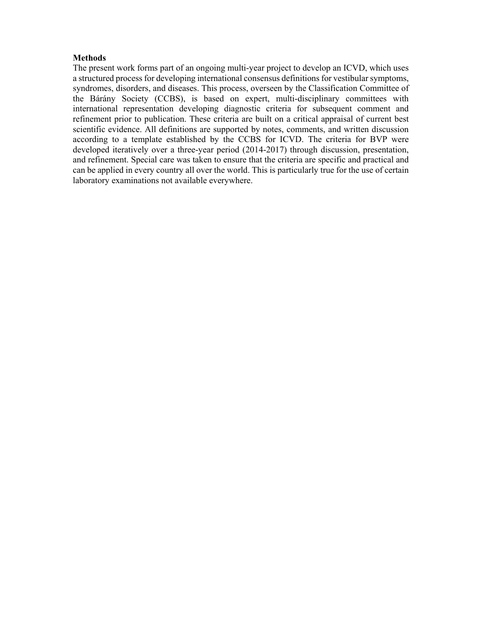### **Methods**

The present work forms part of an ongoing multi-year project to develop an ICVD, which uses a structured process for developing international consensus definitions for vestibular symptoms, syndromes, disorders, and diseases. This process, overseen by the Classification Committee of the Bárány Society (CCBS), is based on expert, multi-disciplinary committees with international representation developing diagnostic criteria for subsequent comment and refinement prior to publication. These criteria are built on a critical appraisal of current best scientific evidence. All definitions are supported by notes, comments, and written discussion according to a template established by the CCBS for ICVD. The criteria for BVP were developed iteratively over a three-year period (2014-2017) through discussion, presentation, and refinement. Special care was taken to ensure that the criteria are specific and practical and can be applied in every country all over the world. This is particularly true for the use of certain laboratory examinations not available everywhere.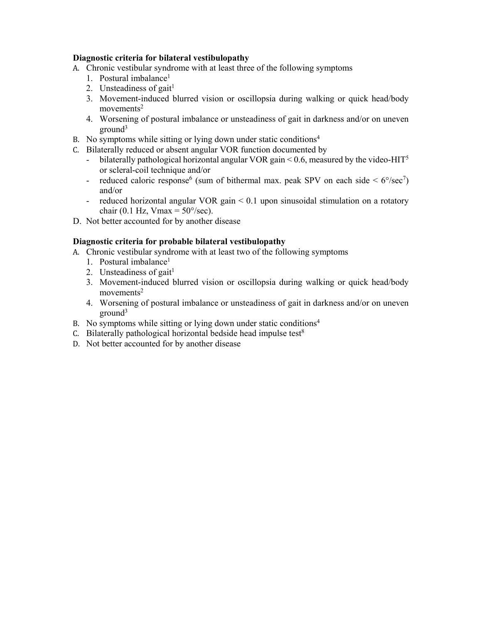# **Diagnostic criteria for bilateral vestibulopathy**

- A. Chronic vestibular syndrome with at least three of the following symptoms
	- 1. Postural imbalance<sup>1</sup>
	- 2. Unsteadiness of gait $<sup>1</sup>$ </sup>
	- 3. Movement-induced blurred vision or oscillopsia during walking or quick head/body  $moverents<sup>2</sup>$
	- 4. Worsening of postural imbalance or unsteadiness of gait in darkness and/or on uneven  $ground<sup>3</sup>$
- B. No symptoms while sitting or lying down under static conditions $4$
- C. Bilaterally reduced or absent angular VOR function documented by
	- bilaterally pathological horizontal angular VOR gain  $\leq$  0.6, measured by the video-HIT<sup>5</sup> or scleral-coil technique and/or
	- reduced caloric response<sup>6</sup> (sum of bithermal max. peak SPV on each side  $\leq 6^{\circ}/sec^7$ ) and/or
	- reduced horizontal angular VOR gain < 0.1 upon sinusoidal stimulation on a rotatory chair (0.1 Hz, Vmax =  $50^{\circ}/sec$ ).
- D. Not better accounted for by another disease

# **Diagnostic criteria for probable bilateral vestibulopathy**

- A. Chronic vestibular syndrome with at least two of the following symptoms
	- 1. Postural imbalance<sup>1</sup>
	- 2. Unsteadiness of gait $<sup>1</sup>$ </sup>
	- 3. Movement-induced blurred vision or oscillopsia during walking or quick head/body  $movements<sup>2</sup>$
	- 4. Worsening of postural imbalance or unsteadiness of gait in darkness and/or on uneven  $ground<sup>3</sup>$
- B. No symptoms while sitting or lying down under static conditions<sup>4</sup>
- C. Bilaterally pathological horizontal bedside head impulse test $8$
- D. Not better accounted for by another disease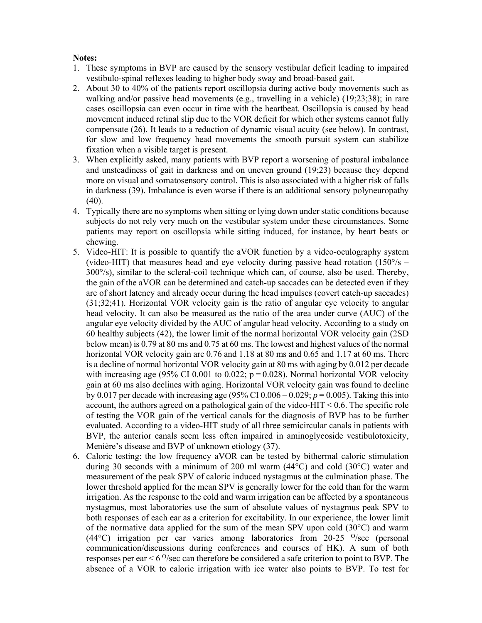## **Notes:**

- 1. These symptoms in BVP are caused by the sensory vestibular deficit leading to impaired vestibulo-spinal reflexes leading to higher body sway and broad-based gait.
- 2. About 30 to 40% of the patients report oscillopsia during active body movements such as walking and/or passive head movements (e.g., travelling in a vehicle) (19;23;38); in rare cases oscillopsia can even occur in time with the heartbeat. Oscillopsia is caused by head movement induced retinal slip due to the VOR deficit for which other systems cannot fully compensate (26). It leads to a reduction of dynamic visual acuity (see below). In contrast, for slow and low frequency head movements the smooth pursuit system can stabilize fixation when a visible target is present.
- 3. When explicitly asked, many patients with BVP report a worsening of postural imbalance and unsteadiness of gait in darkness and on uneven ground (19;23) because they depend more on visual and somatosensory control. This is also associated with a higher risk of falls in darkness (39). Imbalance is even worse if there is an additional sensory polyneuropathy  $(40)$ .
- 4. Typically there are no symptoms when sitting or lying down under static conditions because subjects do not rely very much on the vestibular system under these circumstances. Some patients may report on oscillopsia while sitting induced, for instance, by heart beats or chewing.
- 5. Video-HIT: It is possible to quantify the aVOR function by a video-oculography system (video-HIT) that measures head and eye velocity during passive head rotation  $(150^{\circ}/s -$ 300°/s), similar to the scleral-coil technique which can, of course, also be used. Thereby, the gain of the aVOR can be determined and catch-up saccades can be detected even if they are of short latency and already occur during the head impulses (covert catch-up saccades) (31;32;41). Horizontal VOR velocity gain is the ratio of angular eye velocity to angular head velocity. It can also be measured as the ratio of the area under curve (AUC) of the angular eye velocity divided by the AUC of angular head velocity. According to a study on 60 healthy subjects (42), the lower limit of the normal horizontal VOR velocity gain (2SD below mean) is 0.79 at 80 ms and 0.75 at 60 ms. The lowest and highest values of the normal horizontal VOR velocity gain are 0.76 and 1.18 at 80 ms and 0.65 and 1.17 at 60 ms. There is a decline of normal horizontal VOR velocity gain at 80 ms with aging by 0.012 per decade with increasing age (95% CI 0.001 to 0.022;  $p = 0.028$ ). Normal horizontal VOR velocity gain at 60 ms also declines with aging. Horizontal VOR velocity gain was found to decline by 0.017 per decade with increasing age  $(95\% \text{ CI } 0.006 - 0.029; p = 0.005)$ . Taking this into account, the authors agreed on a pathological gain of the video-HIT  $< 0.6$ . The specific role of testing the VOR gain of the vertical canals for the diagnosis of BVP has to be further evaluated. According to a video-HIT study of all three semicircular canals in patients with BVP, the anterior canals seem less often impaired in aminoglycoside vestibulotoxicity, Menière's disease and BVP of unknown etiology (37).
- 6. Caloric testing: the low frequency aVOR can be tested by bithermal caloric stimulation during 30 seconds with a minimum of 200 ml warm  $(44^{\circ}C)$  and cold  $(30^{\circ}C)$  water and measurement of the peak SPV of caloric induced nystagmus at the culmination phase. The lower threshold applied for the mean SPV is generally lower for the cold than for the warm irrigation. As the response to the cold and warm irrigation can be affected by a spontaneous nystagmus, most laboratories use the sum of absolute values of nystagmus peak SPV to both responses of each ear as a criterion for excitability. In our experience, the lower limit of the normative data applied for the sum of the mean SPV upon cold (30°C) and warm (44 $^{\circ}$ C) irrigation per ear varies among laboratories from 20-25  $^{O}/\text{sec}$  (personal communication/discussions during conferences and courses of HK). A sum of both responses per ear  $\leq 6$  o/sec can therefore be considered a safe criterion to point to BVP. The absence of a VOR to caloric irrigation with ice water also points to BVP. To test for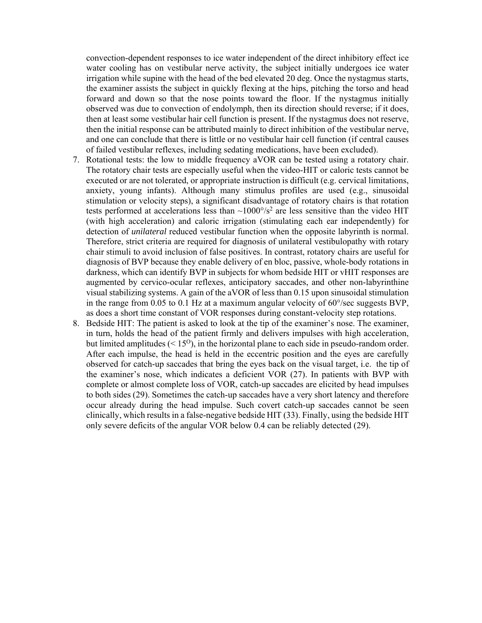convection-dependent responses to ice water independent of the direct inhibitory effect ice water cooling has on vestibular nerve activity, the subject initially undergoes ice water irrigation while supine with the head of the bed elevated 20 deg. Once the nystagmus starts, the examiner assists the subject in quickly flexing at the hips, pitching the torso and head forward and down so that the nose points toward the floor. If the nystagmus initially observed was due to convection of endolymph, then its direction should reverse; if it does, then at least some vestibular hair cell function is present. If the nystagmus does not reserve, then the initial response can be attributed mainly to direct inhibition of the vestibular nerve, and one can conclude that there is little or no vestibular hair cell function (if central causes of failed vestibular reflexes, including sedating medications, have been excluded).

- 7. Rotational tests: the low to middle frequency aVOR can be tested using a rotatory chair. The rotatory chair tests are especially useful when the video-HIT or caloric tests cannot be executed or are not tolerated, or appropriate instruction is difficult (e.g. cervical limitations, anxiety, young infants). Although many stimulus profiles are used (e.g., sinusoidal stimulation or velocity steps), a significant disadvantage of rotatory chairs is that rotation tests performed at accelerations less than  $\sim 1000^{\circ}/s^2$  are less sensitive than the video HIT (with high acceleration) and caloric irrigation (stimulating each ear independently) for detection of *unilateral* reduced vestibular function when the opposite labyrinth is normal. Therefore, strict criteria are required for diagnosis of unilateral vestibulopathy with rotary chair stimuli to avoid inclusion of false positives. In contrast, rotatory chairs are useful for diagnosis of BVP because they enable delivery of en bloc, passive, whole-body rotations in darkness, which can identify BVP in subjects for whom bedside HIT or vHIT responses are augmented by cervico-ocular reflexes, anticipatory saccades, and other non-labyrinthine visual stabilizing systems. A gain of the aVOR of less than 0.15 upon sinusoidal stimulation in the range from 0.05 to 0.1 Hz at a maximum angular velocity of 60°/sec suggests BVP, as does a short time constant of VOR responses during constant-velocity step rotations.
- 8. Bedside HIT: The patient is asked to look at the tip of the examiner's nose. The examiner, in turn, holds the head of the patient firmly and delivers impulses with high acceleration, but limited amplitudes  $(< 15<sup>o</sup>)$ , in the horizontal plane to each side in pseudo-random order. After each impulse, the head is held in the eccentric position and the eyes are carefully observed for catch-up saccades that bring the eyes back on the visual target, i.e. the tip of the examiner's nose, which indicates a deficient VOR (27). In patients with BVP with complete or almost complete loss of VOR, catch-up saccades are elicited by head impulses to both sides (29). Sometimes the catch-up saccades have a very short latency and therefore occur already during the head impulse. Such covert catch-up saccades cannot be seen clinically, which results in a false-negative bedside HIT (33). Finally, using the bedside HIT only severe deficits of the angular VOR below 0.4 can be reliably detected (29).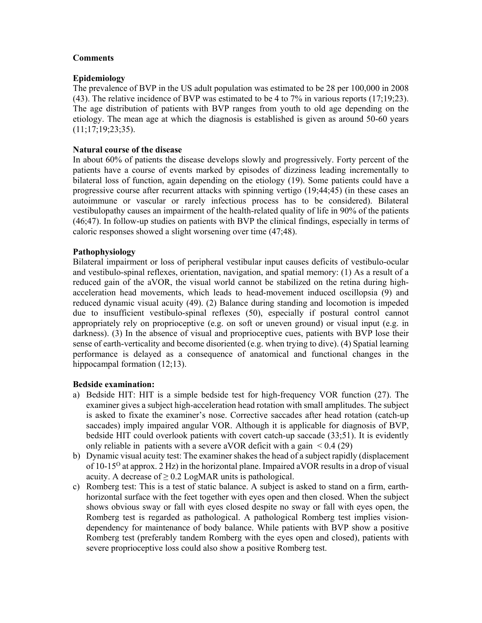## **Comments**

# **Epidemiology**

The prevalence of BVP in the US adult population was estimated to be 28 per 100,000 in 2008 (43). The relative incidence of BVP was estimated to be 4 to 7% in various reports (17;19;23). The age distribution of patients with BVP ranges from youth to old age depending on the etiology. The mean age at which the diagnosis is established is given as around 50-60 years (11;17;19;23;35).

# **Natural course of the disease**

In about 60% of patients the disease develops slowly and progressively. Forty percent of the patients have a course of events marked by episodes of dizziness leading incrementally to bilateral loss of function, again depending on the etiology (19). Some patients could have a progressive course after recurrent attacks with spinning vertigo (19;44;45) (in these cases an autoimmune or vascular or rarely infectious process has to be considered). Bilateral vestibulopathy causes an impairment of the health-related quality of life in 90% of the patients (46;47). In follow-up studies on patients with BVP the clinical findings, especially in terms of caloric responses showed a slight worsening over time (47;48).

# **Pathophysiology**

Bilateral impairment or loss of peripheral vestibular input causes deficits of vestibulo-ocular and vestibulo-spinal reflexes, orientation, navigation, and spatial memory: (1) As a result of a reduced gain of the aVOR, the visual world cannot be stabilized on the retina during highacceleration head movements, which leads to head-movement induced oscillopsia (9) and reduced dynamic visual acuity (49). (2) Balance during standing and locomotion is impeded due to insufficient vestibulo-spinal reflexes (50), especially if postural control cannot appropriately rely on proprioceptive (e.g. on soft or uneven ground) or visual input (e.g. in darkness). (3) In the absence of visual and proprioceptive cues, patients with BVP lose their sense of earth-verticality and become disoriented (e.g. when trying to dive). (4) Spatial learning performance is delayed as a consequence of anatomical and functional changes in the hippocampal formation (12;13).

## **Bedside examination:**

- a) Bedside HIT: HIT is a simple bedside test for high-frequency VOR function (27). The examiner gives a subject high-acceleration head rotation with small amplitudes. The subject is asked to fixate the examiner's nose. Corrective saccades after head rotation (catch-up saccades) imply impaired angular VOR. Although it is applicable for diagnosis of BVP, bedside HIT could overlook patients with covert catch-up saccade (33;51). It is evidently only reliable in patients with a severe aVOR deficit with a gain  $\leq 0.4$  (29)
- b) Dynamic visual acuity test: The examiner shakes the head of a subject rapidly (displacement of  $10-15^{\circ}$  at approx. 2 Hz) in the horizontal plane. Impaired a VOR results in a drop of visual acuity. A decrease of  $\geq$  0.2 LogMAR units is pathological.
- c) Romberg test: This is a test of static balance. A subject is asked to stand on a firm, earthhorizontal surface with the feet together with eyes open and then closed. When the subject shows obvious sway or fall with eyes closed despite no sway or fall with eyes open, the Romberg test is regarded as pathological. A pathological Romberg test implies visiondependency for maintenance of body balance. While patients with BVP show a positive Romberg test (preferably tandem Romberg with the eyes open and closed), patients with severe proprioceptive loss could also show a positive Romberg test.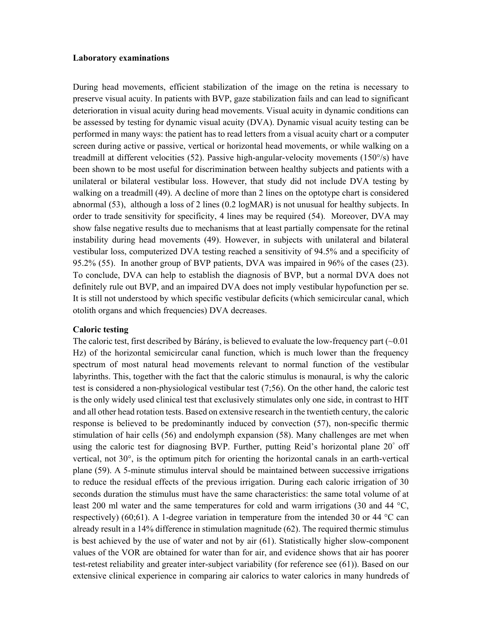#### **Laboratory examinations**

During head movements, efficient stabilization of the image on the retina is necessary to preserve visual acuity. In patients with BVP, gaze stabilization fails and can lead to significant deterioration in visual acuity during head movements. Visual acuity in dynamic conditions can be assessed by testing for dynamic visual acuity (DVA). Dynamic visual acuity testing can be performed in many ways: the patient has to read letters from a visual acuity chart or a computer screen during active or passive, vertical or horizontal head movements, or while walking on a treadmill at different velocities (52). Passive high-angular-velocity movements (150°/s) have been shown to be most useful for discrimination between healthy subjects and patients with a unilateral or bilateral vestibular loss. However, that study did not include DVA testing by walking on a treadmill (49). A decline of more than 2 lines on the optotype chart is considered abnormal (53), although a loss of 2 lines (0.2 logMAR) is not unusual for healthy subjects. In order to trade sensitivity for specificity, 4 lines may be required (54). Moreover, DVA may show false negative results due to mechanisms that at least partially compensate for the retinal instability during head movements (49). However, in subjects with unilateral and bilateral vestibular loss, computerized DVA testing reached a sensitivity of 94.5% and a specificity of 95.2% (55). In another group of BVP patients, DVA was impaired in 96% of the cases (23). To conclude, DVA can help to establish the diagnosis of BVP, but a normal DVA does not definitely rule out BVP, and an impaired DVA does not imply vestibular hypofunction per se. It is still not understood by which specific vestibular deficits (which semicircular canal, which otolith organs and which frequencies) DVA decreases.

#### **Caloric testing**

The caloric test, first described by Bárány, is believed to evaluate the low-frequency part  $(\sim 0.01)$ Hz) of the horizontal semicircular canal function, which is much lower than the frequency spectrum of most natural head movements relevant to normal function of the vestibular labyrinths. This, together with the fact that the caloric stimulus is monaural, is why the caloric test is considered a non-physiological vestibular test (7;56). On the other hand, the caloric test is the only widely used clinical test that exclusively stimulates only one side, in contrast to HIT and all other head rotation tests. Based on extensive research in the twentieth century, the caloric response is believed to be predominantly induced by convection (57), non-specific thermic stimulation of hair cells (56) and endolymph expansion (58). Many challenges are met when using the caloric test for diagnosing BVP. Further, putting Reid's horizontal plane 20° off vertical, not 30°, is the optimum pitch for orienting the horizontal canals in an earth-vertical plane (59). A 5-minute stimulus interval should be maintained between successive irrigations to reduce the residual effects of the previous irrigation. During each caloric irrigation of 30 seconds duration the stimulus must have the same characteristics: the same total volume of at least 200 ml water and the same temperatures for cold and warm irrigations (30 and 44 °C, respectively) (60;61). A 1-degree variation in temperature from the intended 30 or 44  $^{\circ}$ C can already result in a 14% difference in stimulation magnitude (62). The required thermic stimulus is best achieved by the use of water and not by air (61). Statistically higher slow-component values of the VOR are obtained for water than for air, and evidence shows that air has poorer test-retest reliability and greater inter-subject variability (for reference see (61)). Based on our extensive clinical experience in comparing air calorics to water calorics in many hundreds of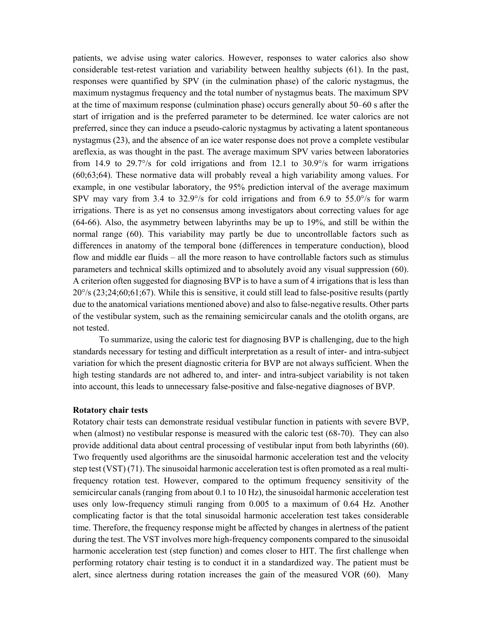patients, we advise using water calorics. However, responses to water calorics also show considerable test-retest variation and variability between healthy subjects (61). In the past, responses were quantified by SPV (in the culmination phase) of the caloric nystagmus, the maximum nystagmus frequency and the total number of nystagmus beats. The maximum SPV at the time of maximum response (culmination phase) occurs generally about 50–60 s after the start of irrigation and is the preferred parameter to be determined. Ice water calorics are not preferred, since they can induce a pseudo-caloric nystagmus by activating a latent spontaneous nystagmus (23), and the absence of an ice water response does not prove a complete vestibular areflexia, as was thought in the past. The average maximum SPV varies between laboratories from 14.9 to 29.7 $\degree$ /s for cold irrigations and from 12.1 to 30.9 $\degree$ /s for warm irrigations (60;63;64). These normative data will probably reveal a high variability among values. For example, in one vestibular laboratory, the 95% prediction interval of the average maximum SPV may vary from 3.4 to 32.9°/s for cold irrigations and from 6.9 to 55.0°/s for warm irrigations. There is as yet no consensus among investigators about correcting values for age (64-66). Also, the asymmetry between labyrinths may be up to 19%, and still be within the normal range (60). This variability may partly be due to uncontrollable factors such as differences in anatomy of the temporal bone (differences in temperature conduction), blood flow and middle ear fluids – all the more reason to have controllable factors such as stimulus parameters and technical skills optimized and to absolutely avoid any visual suppression (60). A criterion often suggested for diagnosing BVP is to have a sum of 4 irrigations that is less than 20°/s (23;24;60;61;67). While this is sensitive, it could still lead to false-positive results (partly due to the anatomical variations mentioned above) and also to false-negative results. Other parts of the vestibular system, such as the remaining semicircular canals and the otolith organs, are not tested.

To summarize, using the caloric test for diagnosing BVP is challenging, due to the high standards necessary for testing and difficult interpretation as a result of inter- and intra-subject variation for which the present diagnostic criteria for BVP are not always sufficient. When the high testing standards are not adhered to, and inter- and intra-subject variability is not taken into account, this leads to unnecessary false-positive and false-negative diagnoses of BVP.

#### **Rotatory chair tests**

Rotatory chair tests can demonstrate residual vestibular function in patients with severe BVP, when (almost) no vestibular response is measured with the caloric test (68-70). They can also provide additional data about central processing of vestibular input from both labyrinths (60). Two frequently used algorithms are the sinusoidal harmonic acceleration test and the velocity step test (VST) (71). The sinusoidal harmonic acceleration test is often promoted as a real multifrequency rotation test. However, compared to the optimum frequency sensitivity of the semicircular canals (ranging from about 0.1 to 10 Hz), the sinusoidal harmonic acceleration test uses only low-frequency stimuli ranging from 0.005 to a maximum of 0.64 Hz. Another complicating factor is that the total sinusoidal harmonic acceleration test takes considerable time. Therefore, the frequency response might be affected by changes in alertness of the patient during the test. The VST involves more high-frequency components compared to the sinusoidal harmonic acceleration test (step function) and comes closer to HIT. The first challenge when performing rotatory chair testing is to conduct it in a standardized way. The patient must be alert, since alertness during rotation increases the gain of the measured VOR (60). Many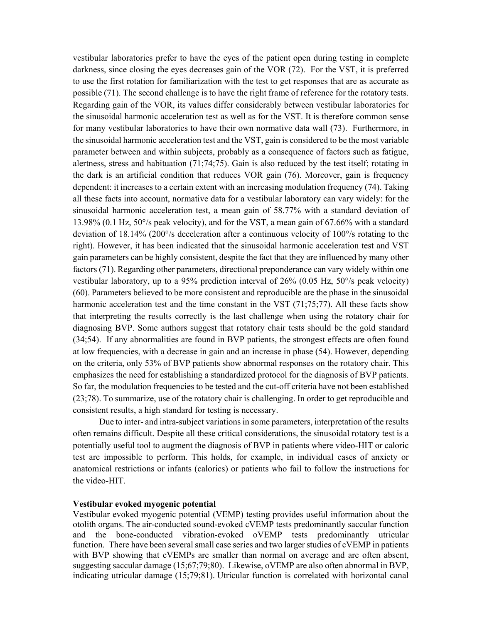vestibular laboratories prefer to have the eyes of the patient open during testing in complete darkness, since closing the eyes decreases gain of the VOR (72). For the VST, it is preferred to use the first rotation for familiarization with the test to get responses that are as accurate as possible (71). The second challenge is to have the right frame of reference for the rotatory tests. Regarding gain of the VOR, its values differ considerably between vestibular laboratories for the sinusoidal harmonic acceleration test as well as for the VST. It is therefore common sense for many vestibular laboratories to have their own normative data wall (73). Furthermore, in the sinusoidal harmonic acceleration test and the VST, gain is considered to be the most variable parameter between and within subjects, probably as a consequence of factors such as fatigue, alertness, stress and habituation (71;74;75). Gain is also reduced by the test itself; rotating in the dark is an artificial condition that reduces VOR gain (76). Moreover, gain is frequency dependent: it increases to a certain extent with an increasing modulation frequency (74). Taking all these facts into account, normative data for a vestibular laboratory can vary widely: for the sinusoidal harmonic acceleration test, a mean gain of 58.77% with a standard deviation of 13.98% (0.1 Hz, 50°/s peak velocity), and for the VST, a mean gain of 67.66% with a standard deviation of 18.14% (200°/s deceleration after a continuous velocity of 100°/s rotating to the right). However, it has been indicated that the sinusoidal harmonic acceleration test and VST gain parameters can be highly consistent, despite the fact that they are influenced by many other factors (71). Regarding other parameters, directional preponderance can vary widely within one vestibular laboratory, up to a 95% prediction interval of 26% (0.05 Hz, 50°/s peak velocity) (60). Parameters believed to be more consistent and reproducible are the phase in the sinusoidal harmonic acceleration test and the time constant in the VST (71;75;77). All these facts show that interpreting the results correctly is the last challenge when using the rotatory chair for diagnosing BVP. Some authors suggest that rotatory chair tests should be the gold standard (34;54). If any abnormalities are found in BVP patients, the strongest effects are often found at low frequencies, with a decrease in gain and an increase in phase (54). However, depending on the criteria, only 53% of BVP patients show abnormal responses on the rotatory chair. This emphasizes the need for establishing a standardized protocol for the diagnosis of BVP patients. So far, the modulation frequencies to be tested and the cut-off criteria have not been established (23;78). To summarize, use of the rotatory chair is challenging. In order to get reproducible and consistent results, a high standard for testing is necessary.

Due to inter- and intra-subject variations in some parameters, interpretation of the results often remains difficult. Despite all these critical considerations, the sinusoidal rotatory test is a potentially useful tool to augment the diagnosis of BVP in patients where video-HIT or caloric test are impossible to perform. This holds, for example, in individual cases of anxiety or anatomical restrictions or infants (calorics) or patients who fail to follow the instructions for the video-HIT.

#### **Vestibular evoked myogenic potential**

Vestibular evoked myogenic potential (VEMP) testing provides useful information about the otolith organs. The air-conducted sound-evoked cVEMP tests predominantly saccular function and the bone-conducted vibration-evoked oVEMP tests predominantly utricular function. There have been several small case series and two larger studies of cVEMP in patients with BVP showing that cVEMPs are smaller than normal on average and are often absent, suggesting saccular damage (15;67;79;80). Likewise, oVEMP are also often abnormal in BVP, indicating utricular damage (15;79;81). Utricular function is correlated with horizontal canal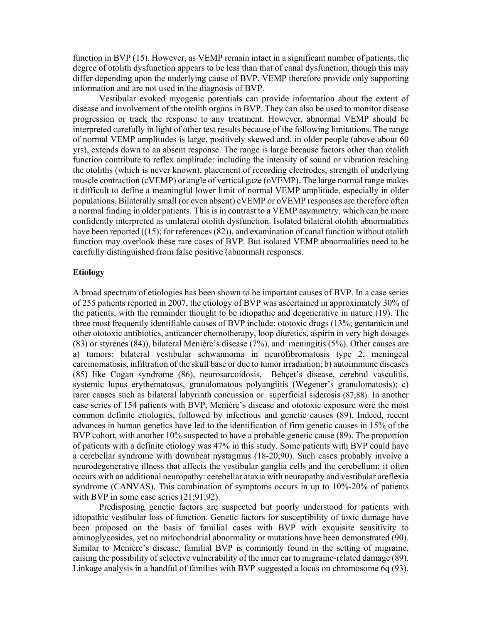function in BVP (15). However, as VEMP remain intact in a significant number of patients, the degree of otolith dysfunction appears to be less than that of canal dysfunction, though this may differ depending upon the underlying cause of BVP. VEMP therefore provide only supporting information and are not used in the diagnosis of BVP.

Vestibular evoked myogenic potentials can provide information about the extent of disease and involvement of the otolith organs in BVP. They can also be used to monitor disease progression or track the response to any treatment. However, abnormal VEMP should be interpreted carefully in light of other test results because of the following limitations. The range of normal VEMP amplitudes is large, positively skewed and, in older people (above about 60 yrs), extends down to an absent response. The range is large because factors other than otolith function contribute to reflex amplitude: including the intensity of sound or vibration reaching the otoliths (which is never known), placement of recording electrodes, strength of underlying muscle contraction (cVEMP) or angle of vertical gaze (oVEMP). The large normal range makes it difficult to define a meaningful lower limit of normal VEMP amplitude, especially in older populations. Bilaterally small (or even absent) cVEMP or oVEMP responses are therefore often a normal finding in older patients. This is in contrast to a VEMP asymmetry, which can be more confidently interpreted as unilateral otolith dysfunction. Isolated bilateral otolith abnormalities have been reported ((15); for references (82)), and examination of canal function without otolith function may overlook these rare cases of BVP. But isolated VEMP abnormalities need to be carefully distinguished from false positive (abnormal) responses.

#### **Etiology**

A broad spectrum of etiologies has been shown to be important causes of BVP. In a case series of 255 patients reported in 2007, the etiology of BVP was ascertained in approximately 30% of the patients, with the remainder thought to be idiopathic and degenerative in nature (19). The three most frequently identifiable causes of BVP include: ototoxic drugs (13%; gentamicin and other ototoxic antibiotics, anticancer chemotherapy, loop diuretics, aspirin in very high dosages (83) or styrenes (84)), bilateral Menière's disease (7%), and meningitis (5%). Other causes are a) tumors: bilateral vestibular schwannoma in neurofibromatosis type 2, meningeal carcinomatosis, infiltration of the skull base or due to tumor irradiation; b) autoimmune diseases (85) like Cogan syndrome (86), neurosarcoidosis, Behçet's disease, cerebral vasculitis, systemic lupus erythematosus, granulomatous polyangiitis (Wegener's granulomatosis); c) rarer causes such as bilateral labyrinth concussion or superficial siderosis (87;88). In another case series of 154 patients with BVP, Menière's disease and ototoxic exposure were the most common definite etiologies, followed by infectious and genetic causes (89). Indeed, recent advances in human genetics have led to the identification of firm genetic causes in 15% of the BVP cohort, with another 10% suspected to have a probable genetic cause (89). The proportion of patients with a definite etiology was 47% in this study. Some patients with BVP could have a cerebellar syndrome with downbeat nystagmus (18-20;90). Such cases probably involve a neurodegenerative illness that affects the vestibular ganglia cells and the cerebellum; it often occurs with an additional neuropathy: cerebellar ataxia with neuropathy and vestibular areflexia syndrome (CANVAS). This combination of symptoms occurs in up to 10%-20% of patients with BVP in some case series  $(21;91;92)$ .

Predisposing genetic factors are suspected but poorly understood for patients with idiopathic vestibular loss of function. Genetic factors for susceptibility of toxic damage have been proposed on the basis of familial cases with BVP with exquisite sensitivity to aminoglycosides, yet no mitochondrial abnormality or mutations have been demonstrated (90). Similar to Menière's disease, familial BVP is commonly found in the setting of migraine, raising the possibility of selective vulnerability of the inner ear to migraine-related damage (89). Linkage analysis in a handful of families with BVP suggested a locus on chromosome 6q (93).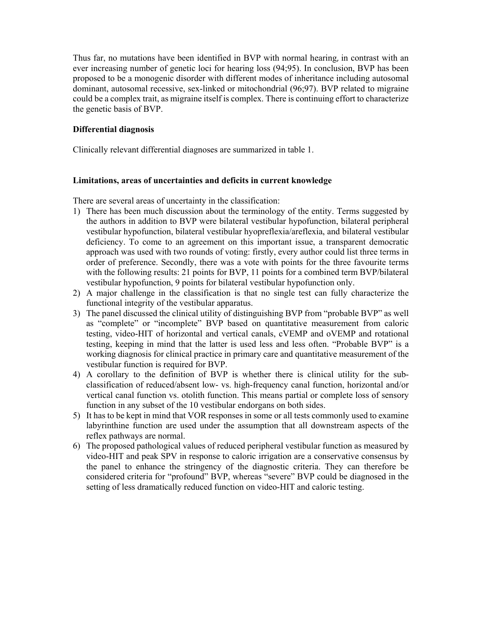Thus far, no mutations have been identified in BVP with normal hearing, in contrast with an ever increasing number of genetic loci for hearing loss (94;95). In conclusion, BVP has been proposed to be a monogenic disorder with different modes of inheritance including autosomal dominant, autosomal recessive, sex-linked or mitochondrial (96;97). BVP related to migraine could be a complex trait, as migraine itself is complex. There is continuing effort to characterize the genetic basis of BVP.

# **Differential diagnosis**

Clinically relevant differential diagnoses are summarized in table 1.

# **Limitations, areas of uncertainties and deficits in current knowledge**

There are several areas of uncertainty in the classification:

- 1) There has been much discussion about the terminology of the entity. Terms suggested by the authors in addition to BVP were bilateral vestibular hypofunction, bilateral peripheral vestibular hypofunction, bilateral vestibular hyopreflexia/areflexia, and bilateral vestibular deficiency. To come to an agreement on this important issue, a transparent democratic approach was used with two rounds of voting: firstly, every author could list three terms in order of preference. Secondly, there was a vote with points for the three favourite terms with the following results: 21 points for BVP, 11 points for a combined term BVP/bilateral vestibular hypofunction, 9 points for bilateral vestibular hypofunction only.
- 2) A major challenge in the classification is that no single test can fully characterize the functional integrity of the vestibular apparatus.
- 3) The panel discussed the clinical utility of distinguishing BVP from "probable BVP" as well as "complete" or "incomplete" BVP based on quantitative measurement from caloric testing, video-HIT of horizontal and vertical canals, cVEMP and oVEMP and rotational testing, keeping in mind that the latter is used less and less often. "Probable BVP" is a working diagnosis for clinical practice in primary care and quantitative measurement of the vestibular function is required for BVP.
- 4) A corollary to the definition of BVP is whether there is clinical utility for the subclassification of reduced/absent low- vs. high-frequency canal function, horizontal and/or vertical canal function vs. otolith function. This means partial or complete loss of sensory function in any subset of the 10 vestibular endorgans on both sides.
- 5) It has to be kept in mind that VOR responses in some or all tests commonly used to examine labyrinthine function are used under the assumption that all downstream aspects of the reflex pathways are normal.
- 6) The proposed pathological values of reduced peripheral vestibular function as measured by video-HIT and peak SPV in response to caloric irrigation are a conservative consensus by the panel to enhance the stringency of the diagnostic criteria. They can therefore be considered criteria for "profound" BVP, whereas "severe" BVP could be diagnosed in the setting of less dramatically reduced function on video-HIT and caloric testing.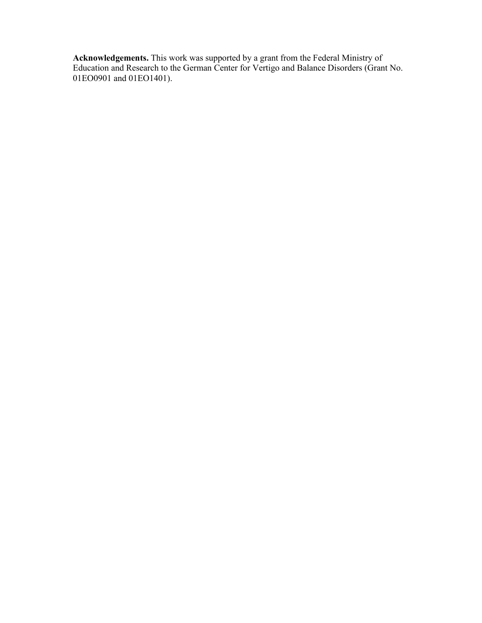**Acknowledgements.** This work was supported by a grant from the Federal Ministry of Education and Research to the German Center for Vertigo and Balance Disorders (Grant No. 01EO0901 and 01EO1401).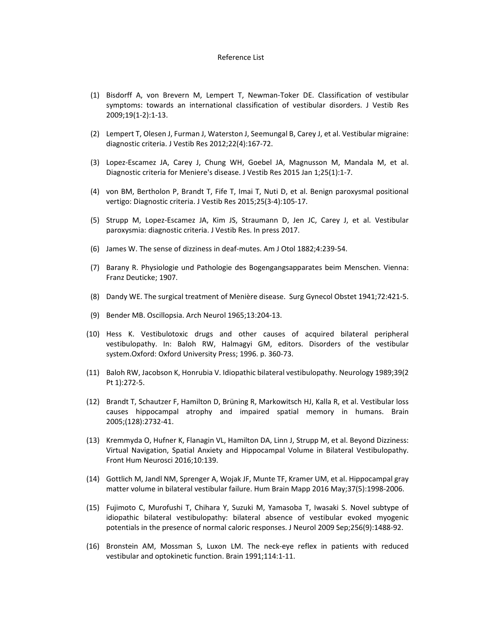#### Reference List

- (1) Bisdorff A, von Brevern M, Lempert T, Newman‐Toker DE. Classification of vestibular symptoms: towards an international classification of vestibular disorders. J Vestib Res 2009;19(1‐2):1‐13.
- (2) Lempert T, Olesen J, Furman J, Waterston J, Seemungal B, Carey J, et al. Vestibular migraine: diagnostic criteria. J Vestib Res 2012;22(4):167‐72.
- (3) Lopez‐Escamez JA, Carey J, Chung WH, Goebel JA, Magnusson M, Mandala M, et al. Diagnostic criteria for Meniere's disease. J Vestib Res 2015 Jan 1;25(1):1‐7.
- (4) von BM, Bertholon P, Brandt T, Fife T, Imai T, Nuti D, et al. Benign paroxysmal positional vertigo: Diagnostic criteria. J Vestib Res 2015;25(3‐4):105‐17.
- (5) Strupp M, Lopez‐Escamez JA, Kim JS, Straumann D, Jen JC, Carey J, et al. Vestibular paroxysmia: diagnostic criteria. J Vestib Res. In press 2017.
- (6) James W. The sense of dizziness in deaf‐mutes. Am J Otol 1882;4:239‐54.
- (7) Barany R. Physiologie und Pathologie des Bogengangsapparates beim Menschen. Vienna: Franz Deuticke; 1907.
- (8) Dandy WE. The surgical treatment of Menière disease. Surg Gynecol Obstet 1941;72:421‐5.
- (9) Bender MB. Oscillopsia. Arch Neurol 1965;13:204‐13.
- (10) Hess K. Vestibulotoxic drugs and other causes of acquired bilateral peripheral vestibulopathy. In: Baloh RW, Halmagyi GM, editors. Disorders of the vestibular system.Oxford: Oxford University Press; 1996. p. 360‐73.
- (11) Baloh RW, Jacobson K, Honrubia V. Idiopathic bilateral vestibulopathy. Neurology 1989;39(2 Pt 1):272‐5.
- (12) Brandt T, Schautzer F, Hamilton D, Brüning R, Markowitsch HJ, Kalla R, et al. Vestibular loss causes hippocampal atrophy and impaired spatial memory in humans. Brain 2005;(128):2732‐41.
- (13) Kremmyda O, Hufner K, Flanagin VL, Hamilton DA, Linn J, Strupp M, et al. Beyond Dizziness: Virtual Navigation, Spatial Anxiety and Hippocampal Volume in Bilateral Vestibulopathy. Front Hum Neurosci 2016;10:139.
- (14) Gottlich M, Jandl NM, Sprenger A, Wojak JF, Munte TF, Kramer UM, et al. Hippocampal gray matter volume in bilateral vestibular failure. Hum Brain Mapp 2016 May;37(5):1998‐2006.
- (15) Fujimoto C, Murofushi T, Chihara Y, Suzuki M, Yamasoba T, Iwasaki S. Novel subtype of idiopathic bilateral vestibulopathy: bilateral absence of vestibular evoked myogenic potentials in the presence of normal caloric responses. J Neurol 2009 Sep;256(9):1488‐92.
- (16) Bronstein AM, Mossman S, Luxon LM. The neck‐eye reflex in patients with reduced vestibular and optokinetic function. Brain 1991;114:1‐11.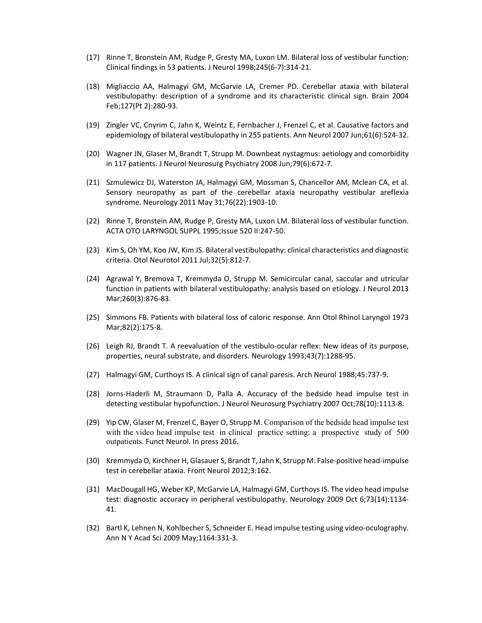- (17) Rinne T, Bronstein AM, Rudge P, Gresty MA, Luxon LM. Bilateral loss of vestibular function: Clinical findings in 53 patients. J Neurol 1998;245(6‐7):314‐21.
- (18) Migliaccio AA, Halmagyi GM, McGarvie LA, Cremer PD. Cerebellar ataxia with bilateral vestibulopathy: description of a syndrome and its characteristic clinical sign. Brain 2004 Feb;127(Pt 2):280‐93.
- (19) Zingler VC, Cnyrim C, Jahn K, Weintz E, Fernbacher J, Frenzel C, et al. Causative factors and epidemiology of bilateral vestibulopathy in 255 patients. Ann Neurol 2007 Jun;61(6):524‐32.
- (20) Wagner JN, Glaser M, Brandt T, Strupp M. Downbeat nystagmus: aetiology and comorbidity in 117 patients. J Neurol Neurosurg Psychiatry 2008 Jun;79(6):672‐7.
- (21) Szmulewicz DJ, Waterston JA, Halmagyi GM, Mossman S, Chancellor AM, Mclean CA, et al. Sensory neuropathy as part of the cerebellar ataxia neuropathy vestibular areflexia syndrome. Neurology 2011 May 31;76(22):1903‐10.
- (22) Rinne T, Bronstein AM, Rudge P, Gresty MA, Luxon LM. Bilateral loss of vestibular function. ACTA OTO LARYNGOL SUPPL 1995;Issue 520 II:247‐50.
- (23) Kim S, Oh YM, Koo JW, Kim JS. Bilateral vestibulopathy: clinical characteristics and diagnostic criteria. Otol Neurotol 2011 Jul;32(5):812‐7.
- (24) Agrawal Y, Bremova T, Kremmyda O, Strupp M. Semicircular canal, saccular and utricular function in patients with bilateral vestibulopathy: analysis based on etiology. J Neurol 2013 Mar;260(3):876‐83.
- (25) Simmons FB. Patients with bilateral loss of caloric response. Ann Otol Rhinol Laryngol 1973 Mar;82(2):175‐8.
- (26) Leigh RJ, Brandt T. A reevaluation of the vestibulo‐ocular reflex: New ideas of its purpose, properties, neural substrate, and disorders. Neurology 1993;43(7):1288‐95.
- (27) Halmagyi GM, Curthoys IS. A clinical sign of canal paresis. Arch Neurol 1988;45:737‐9.
- (28) Jorns‐Haderli M, Straumann D, Palla A. Accuracy of the bedside head impulse test in detecting vestibular hypofunction. J Neurol Neurosurg Psychiatry 2007 Oct;78(10):1113‐8.
- (29) Yip CW, Glaser M, Frenzel C, Bayer O, Strupp M. Comparison of the bedside head impulse test with the video head impulse test in clinical practice setting: a prospective study of 500 outpatients. Funct Neurol. In press 2016.
- (30) Kremmyda O, Kirchner H, Glasauer S, Brandt T, Jahn K, Strupp M. False‐positive head‐impulse test in cerebellar ataxia. Front Neurol 2012;3:162.
- (31) MacDougall HG, Weber KP, McGarvie LA, Halmagyi GM, Curthoys IS. The video head impulse test: diagnostic accuracy in peripheral vestibulopathy. Neurology 2009 Oct 6;73(14):1134‐ 41.
- (32) Bartl K, Lehnen N, Kohlbecher S, Schneider E. Head impulse testing using video‐oculography. Ann N Y Acad Sci 2009 May;1164:331‐3.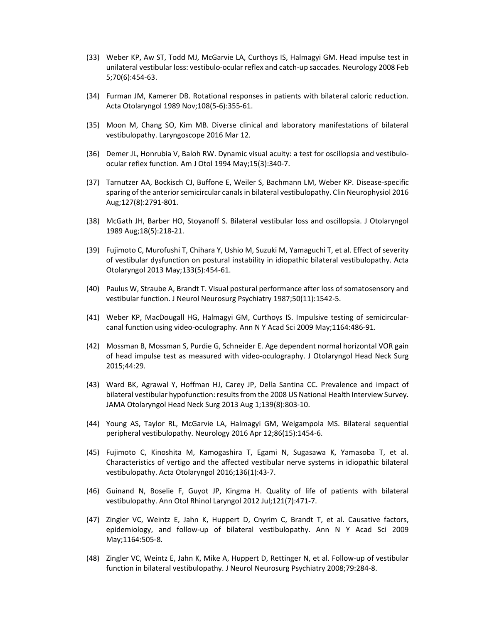- (33) Weber KP, Aw ST, Todd MJ, McGarvie LA, Curthoys IS, Halmagyi GM. Head impulse test in unilateral vestibular loss: vestibulo‐ocular reflex and catch‐up saccades. Neurology 2008 Feb 5;70(6):454‐63.
- (34) Furman JM, Kamerer DB. Rotational responses in patients with bilateral caloric reduction. Acta Otolaryngol 1989 Nov;108(5‐6):355‐61.
- (35) Moon M, Chang SO, Kim MB. Diverse clinical and laboratory manifestations of bilateral vestibulopathy. Laryngoscope 2016 Mar 12.
- (36) Demer JL, Honrubia V, Baloh RW. Dynamic visual acuity: a test for oscillopsia and vestibulo‐ ocular reflex function. Am J Otol 1994 May;15(3):340‐7.
- (37) Tarnutzer AA, Bockisch CJ, Buffone E, Weiler S, Bachmann LM, Weber KP. Disease‐specific sparing of the anterior semicircular canals in bilateral vestibulopathy. Clin Neurophysiol 2016 Aug;127(8):2791‐801.
- (38) McGath JH, Barber HO, Stoyanoff S. Bilateral vestibular loss and oscillopsia. J Otolaryngol 1989 Aug;18(5):218‐21.
- (39) Fujimoto C, Murofushi T, Chihara Y, Ushio M, Suzuki M, Yamaguchi T, et al. Effect of severity of vestibular dysfunction on postural instability in idiopathic bilateral vestibulopathy. Acta Otolaryngol 2013 May;133(5):454‐61.
- (40) Paulus W, Straube A, Brandt T. Visual postural performance after loss of somatosensory and vestibular function. J Neurol Neurosurg Psychiatry 1987;50(11):1542‐5.
- (41) Weber KP, MacDougall HG, Halmagyi GM, Curthoys IS. Impulsive testing of semicircular‐ canal function using video‐oculography. Ann N Y Acad Sci 2009 May;1164:486‐91.
- (42) Mossman B, Mossman S, Purdie G, Schneider E. Age dependent normal horizontal VOR gain of head impulse test as measured with video‐oculography. J Otolaryngol Head Neck Surg 2015;44:29.
- (43) Ward BK, Agrawal Y, Hoffman HJ, Carey JP, Della Santina CC. Prevalence and impact of bilateral vestibular hypofunction: results from the 2008 US National Health Interview Survey. JAMA Otolaryngol Head Neck Surg 2013 Aug 1;139(8):803‐10.
- (44) Young AS, Taylor RL, McGarvie LA, Halmagyi GM, Welgampola MS. Bilateral sequential peripheral vestibulopathy. Neurology 2016 Apr 12;86(15):1454‐6.
- (45) Fujimoto C, Kinoshita M, Kamogashira T, Egami N, Sugasawa K, Yamasoba T, et al. Characteristics of vertigo and the affected vestibular nerve systems in idiopathic bilateral vestibulopathy. Acta Otolaryngol 2016;136(1):43‐7.
- (46) Guinand N, Boselie F, Guyot JP, Kingma H. Quality of life of patients with bilateral vestibulopathy. Ann Otol Rhinol Laryngol 2012 Jul;121(7):471‐7.
- (47) Zingler VC, Weintz E, Jahn K, Huppert D, Cnyrim C, Brandt T, et al. Causative factors, epidemiology, and follow-up of bilateral vestibulopathy. Ann N Y Acad Sci 2009 May;1164:505‐8.
- (48) Zingler VC, Weintz E, Jahn K, Mike A, Huppert D, Rettinger N, et al. Follow‐up of vestibular function in bilateral vestibulopathy. J Neurol Neurosurg Psychiatry 2008;79:284‐8.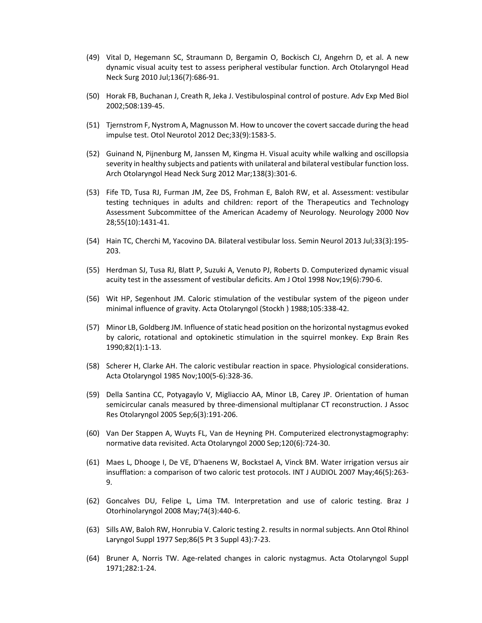- (49) Vital D, Hegemann SC, Straumann D, Bergamin O, Bockisch CJ, Angehrn D, et al. A new dynamic visual acuity test to assess peripheral vestibular function. Arch Otolaryngol Head Neck Surg 2010 Jul;136(7):686‐91.
- (50) Horak FB, Buchanan J, Creath R, Jeka J. Vestibulospinal control of posture. Adv Exp Med Biol 2002;508:139‐45.
- (51) Tjernstrom F, Nystrom A, Magnusson M. How to uncover the covert saccade during the head impulse test. Otol Neurotol 2012 Dec;33(9):1583‐5.
- (52) Guinand N, Pijnenburg M, Janssen M, Kingma H. Visual acuity while walking and oscillopsia severity in healthy subjects and patients with unilateral and bilateral vestibular function loss. Arch Otolaryngol Head Neck Surg 2012 Mar;138(3):301‐6.
- (53) Fife TD, Tusa RJ, Furman JM, Zee DS, Frohman E, Baloh RW, et al. Assessment: vestibular testing techniques in adults and children: report of the Therapeutics and Technology Assessment Subcommittee of the American Academy of Neurology. Neurology 2000 Nov 28;55(10):1431‐41.
- (54) Hain TC, Cherchi M, Yacovino DA. Bilateral vestibular loss. Semin Neurol 2013 Jul;33(3):195‐ 203.
- (55) Herdman SJ, Tusa RJ, Blatt P, Suzuki A, Venuto PJ, Roberts D. Computerized dynamic visual acuity test in the assessment of vestibular deficits. Am J Otol 1998 Nov;19(6):790‐6.
- (56) Wit HP, Segenhout JM. Caloric stimulation of the vestibular system of the pigeon under minimal influence of gravity. Acta Otolaryngol (Stockh ) 1988;105:338‐42.
- (57) Minor LB, Goldberg JM. Influence of static head position on the horizontal nystagmus evoked by caloric, rotational and optokinetic stimulation in the squirrel monkey. Exp Brain Res 1990;82(1):1‐13.
- (58) Scherer H, Clarke AH. The caloric vestibular reaction in space. Physiological considerations. Acta Otolaryngol 1985 Nov;100(5‐6):328‐36.
- (59) Della Santina CC, Potyagaylo V, Migliaccio AA, Minor LB, Carey JP. Orientation of human semicircular canals measured by three-dimensional multiplanar CT reconstruction. J Assoc Res Otolaryngol 2005 Sep;6(3):191‐206.
- (60) Van Der Stappen A, Wuyts FL, Van de Heyning PH. Computerized electronystagmography: normative data revisited. Acta Otolaryngol 2000 Sep;120(6):724‐30.
- (61) Maes L, Dhooge I, De VE, D'haenens W, Bockstael A, Vinck BM. Water irrigation versus air insufflation: a comparison of two caloric test protocols. INT J AUDIOL 2007 May;46(5):263‐ 9.
- (62) Goncalves DU, Felipe L, Lima TM. Interpretation and use of caloric testing. Braz J Otorhinolaryngol 2008 May;74(3):440‐6.
- (63) Sills AW, Baloh RW, Honrubia V. Caloric testing 2. results in normal subjects. Ann Otol Rhinol Laryngol Suppl 1977 Sep;86(5 Pt 3 Suppl 43):7‐23.
- (64) Bruner A, Norris TW. Age‐related changes in caloric nystagmus. Acta Otolaryngol Suppl 1971;282:1‐24.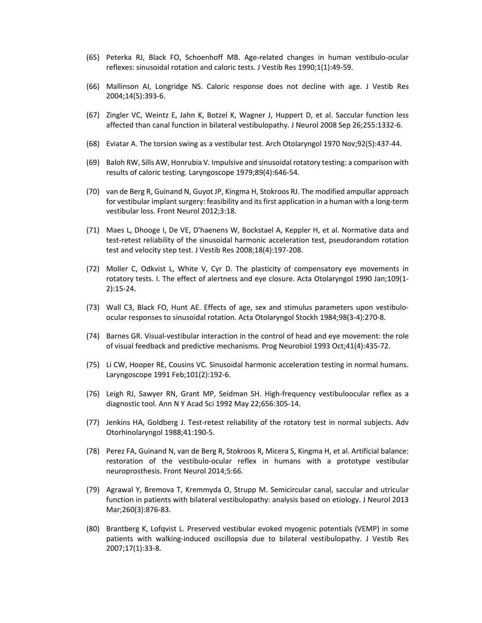- (65) Peterka RJ, Black FO, Schoenhoff MB. Age‐related changes in human vestibulo‐ocular reflexes: sinusoidal rotation and caloric tests. J Vestib Res 1990;1(1):49‐59.
- (66) Mallinson AI, Longridge NS. Caloric response does not decline with age. J Vestib Res 2004;14(5):393‐6.
- (67) Zingler VC, Weintz E, Jahn K, Botzel K, Wagner J, Huppert D, et al. Saccular function less affected than canal function in bilateral vestibulopathy. J Neurol 2008 Sep 26;255:1332‐6.
- (68) Eviatar A. The torsion swing as a vestibular test. Arch Otolaryngol 1970 Nov;92(5):437‐44.
- (69) Baloh RW, Sills AW, Honrubia V. Impulsive and sinusoidal rotatory testing: a comparison with results of caloric testing. Laryngoscope 1979;89(4):646‐54.
- (70) van de Berg R, Guinand N, Guyot JP, Kingma H, Stokroos RJ. The modified ampullar approach for vestibular implant surgery: feasibility and its first application in a human with a long‐term vestibular loss. Front Neurol 2012;3:18.
- (71) Maes L, Dhooge I, De VE, D'haenens W, Bockstael A, Keppler H, et al. Normative data and test‐retest reliability of the sinusoidal harmonic acceleration test, pseudorandom rotation test and velocity step test. J Vestib Res 2008;18(4):197‐208.
- (72) Moller C, Odkvist L, White V, Cyr D. The plasticity of compensatory eye movements in rotatory tests. I. The effect of alertness and eye closure. Acta Otolaryngol 1990 Jan;109(1‐ 2):15‐24.
- (73) Wall C3, Black FO, Hunt AE. Effects of age, sex and stimulus parameters upon vestibuloocular responses to sinusoidal rotation. Acta Otolaryngol Stockh 1984;98(3‐4):270‐8.
- (74) Barnes GR. Visual‐vestibular interaction in the control of head and eye movement: the role of visual feedback and predictive mechanisms. Prog Neurobiol 1993 Oct;41(4):435‐72.
- (75) Li CW, Hooper RE, Cousins VC. Sinusoidal harmonic acceleration testing in normal humans. Laryngoscope 1991 Feb;101(2):192‐6.
- (76) Leigh RJ, Sawyer RN, Grant MP, Seidman SH. High‐frequency vestibuloocular reflex as a diagnostic tool. Ann N Y Acad Sci 1992 May 22;656:305‐14.
- (77) Jenkins HA, Goldberg J. Test-retest reliability of the rotatory test in normal subjects. Adv Otorhinolaryngol 1988;41:190‐5.
- (78) Perez FA, Guinand N, van de Berg R, Stokroos R, Micera S, Kingma H, et al. Artificial balance: restoration of the vestibulo-ocular reflex in humans with a prototype vestibular neuroprosthesis. Front Neurol 2014;5:66.
- (79) Agrawal Y, Bremova T, Kremmyda O, Strupp M. Semicircular canal, saccular and utricular function in patients with bilateral vestibulopathy: analysis based on etiology. J Neurol 2013 Mar;260(3):876‐83.
- (80) Brantberg K, Lofqvist L. Preserved vestibular evoked myogenic potentials (VEMP) in some patients with walking‐induced oscillopsia due to bilateral vestibulopathy. J Vestib Res 2007;17(1):33‐8.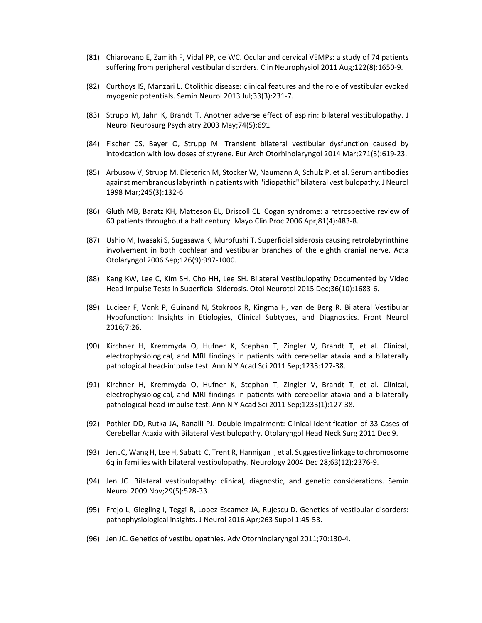- (81) Chiarovano E, Zamith F, Vidal PP, de WC. Ocular and cervical VEMPs: a study of 74 patients suffering from peripheral vestibular disorders. Clin Neurophysiol 2011 Aug;122(8):1650‐9.
- (82) Curthoys IS, Manzari L. Otolithic disease: clinical features and the role of vestibular evoked myogenic potentials. Semin Neurol 2013 Jul;33(3):231‐7.
- (83) Strupp M, Jahn K, Brandt T. Another adverse effect of aspirin: bilateral vestibulopathy. J Neurol Neurosurg Psychiatry 2003 May;74(5):691.
- (84) Fischer CS, Bayer O, Strupp M. Transient bilateral vestibular dysfunction caused by intoxication with low doses of styrene. Eur Arch Otorhinolaryngol 2014 Mar;271(3):619‐23.
- (85) Arbusow V, Strupp M, Dieterich M, Stocker W, Naumann A, Schulz P, et al. Serum antibodies against membranous labyrinth in patients with "idiopathic" bilateral vestibulopathy. J Neurol 1998 Mar;245(3):132‐6.
- (86) Gluth MB, Baratz KH, Matteson EL, Driscoll CL. Cogan syndrome: a retrospective review of 60 patients throughout a half century. Mayo Clin Proc 2006 Apr;81(4):483‐8.
- (87) Ushio M, Iwasaki S, Sugasawa K, Murofushi T. Superficial siderosis causing retrolabyrinthine involvement in both cochlear and vestibular branches of the eighth cranial nerve. Acta Otolaryngol 2006 Sep;126(9):997‐1000.
- (88) Kang KW, Lee C, Kim SH, Cho HH, Lee SH. Bilateral Vestibulopathy Documented by Video Head Impulse Tests in Superficial Siderosis. Otol Neurotol 2015 Dec;36(10):1683‐6.
- (89) Lucieer F, Vonk P, Guinand N, Stokroos R, Kingma H, van de Berg R. Bilateral Vestibular Hypofunction: Insights in Etiologies, Clinical Subtypes, and Diagnostics. Front Neurol 2016;7:26.
- (90) Kirchner H, Kremmyda O, Hufner K, Stephan T, Zingler V, Brandt T, et al. Clinical, electrophysiological, and MRI findings in patients with cerebellar ataxia and a bilaterally pathological head‐impulse test. Ann N Y Acad Sci 2011 Sep;1233:127‐38.
- (91) Kirchner H, Kremmyda O, Hufner K, Stephan T, Zingler V, Brandt T, et al. Clinical, electrophysiological, and MRI findings in patients with cerebellar ataxia and a bilaterally pathological head‐impulse test. Ann N Y Acad Sci 2011 Sep;1233(1):127‐38.
- (92) Pothier DD, Rutka JA, Ranalli PJ. Double Impairment: Clinical Identification of 33 Cases of Cerebellar Ataxia with Bilateral Vestibulopathy. Otolaryngol Head Neck Surg 2011 Dec 9.
- (93) Jen JC, Wang H, Lee H, Sabatti C, Trent R, Hannigan I, et al. Suggestive linkage to chromosome 6q in families with bilateral vestibulopathy. Neurology 2004 Dec 28;63(12):2376‐9.
- (94) Jen JC. Bilateral vestibulopathy: clinical, diagnostic, and genetic considerations. Semin Neurol 2009 Nov;29(5):528‐33.
- (95) Frejo L, Giegling I, Teggi R, Lopez‐Escamez JA, Rujescu D. Genetics of vestibular disorders: pathophysiological insights. J Neurol 2016 Apr;263 Suppl 1:45‐53.
- (96) Jen JC. Genetics of vestibulopathies. Adv Otorhinolaryngol 2011;70:130‐4.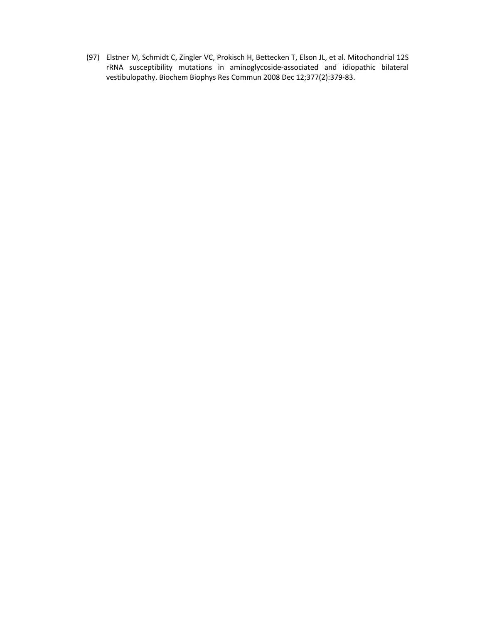(97) Elstner M, Schmidt C, Zingler VC, Prokisch H, Bettecken T, Elson JL, et al. Mitochondrial 12S rRNA susceptibility mutations in aminoglycoside‐associated and idiopathic bilateral vestibulopathy. Biochem Biophys Res Commun 2008 Dec 12;377(2):379‐83.